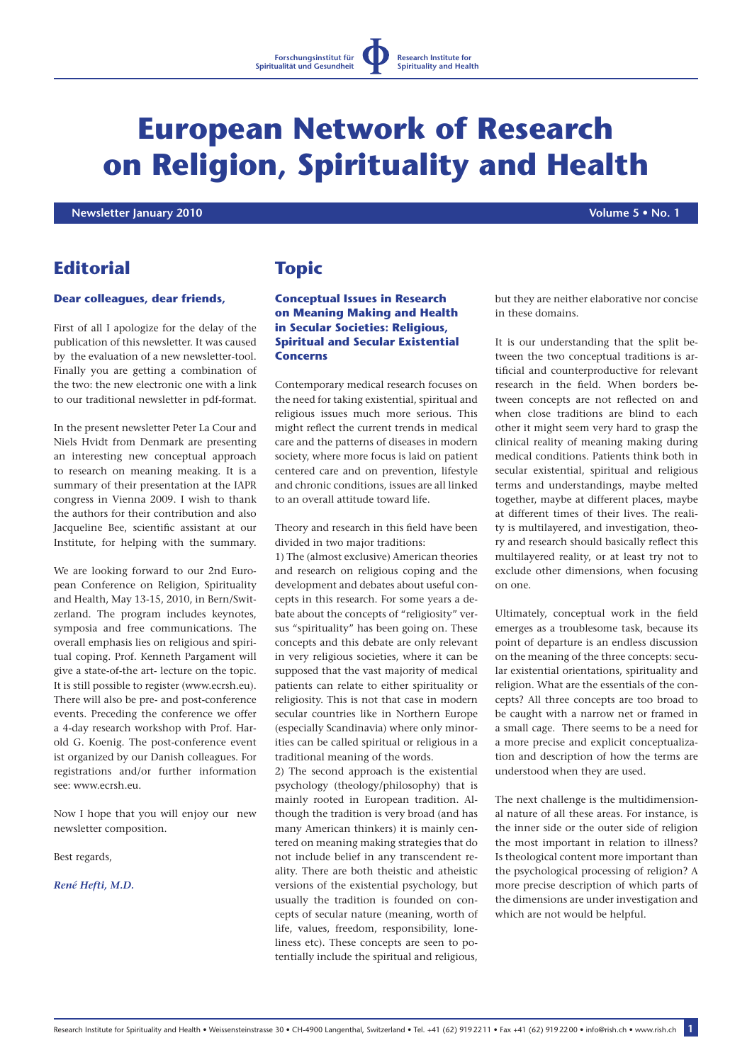**Research Institute for Spirituality and Health**

# **European Network of Research on Religion, Spirituality and Health**

 **Newsletter January 2010 Volume 5 • No. 1**

# **Editorial**

#### **Dear colleagues, dear friends,**

First of all I apologize for the delay of the publication of this newsletter. It was caused by the evaluation of a new newsletter-tool. Finally you are getting a combination of the two: the new electronic one with a link to our traditional newsletter in pdf-format.

In the present newsletter Peter La Cour and Niels Hvidt from Denmark are presenting an interesting new conceptual approach to research on meaning meaking. It is a summary of their presentation at the IAPR congress in Vienna 2009. I wish to thank the authors for their contribution and also Jacqueline Bee, scientific assistant at our Institute, for helping with the summary.

We are looking forward to our 2nd European Conference on Religion, Spirituality and Health, May 13-15, 2010, in Bern/Switzerland. The program includes keynotes, symposia and free communications. The overall emphasis lies on religious and spiritual coping. Prof. Kenneth Pargament will give a state-of-the art- lecture on the topic. It is still possible to register (www.ecrsh.eu). There will also be pre- and post-conference events. Preceding the conference we offer a 4-day research workshop with Prof. Harold G. Koenig. The post-conference event ist organized by our Danish colleagues. For registrations and/or further information see: www.ecrsh.eu.

Now I hope that you will enjoy our new newsletter composition.

Best regards,

*René Hefti, M.D.*

## **Topic**

## **Conceptual Issues in Research on Meaning Making and Health in Secular Societies: Religious, Spiritual and Secular Existential Concerns**

Contemporary medical research focuses on the need for taking existential, spiritual and religious issues much more serious. This might reflect the current trends in medical care and the patterns of diseases in modern society, where more focus is laid on patient centered care and on prevention, lifestyle and chronic conditions, issues are all linked to an overall attitude toward life.

Theory and research in this field have been divided in two major traditions:

1) The (almost exclusive) American theories and research on religious coping and the development and debates about useful concepts in this research. For some years a debate about the concepts of "religiosity" versus "spirituality" has been going on. These concepts and this debate are only relevant in very religious societies, where it can be supposed that the vast majority of medical patients can relate to either spirituality or religiosity. This is not that case in modern secular countries like in Northern Europe (especially Scandinavia) where only minorities can be called spiritual or religious in a traditional meaning of the words.

2) The second approach is the existential psychology (theology/philosophy) that is mainly rooted in European tradition. Although the tradition is very broad (and has many American thinkers) it is mainly centered on meaning making strategies that do not include belief in any transcendent reality. There are both theistic and atheistic versions of the existential psychology, but usually the tradition is founded on concepts of secular nature (meaning, worth of life, values, freedom, responsibility, loneliness etc). These concepts are seen to potentially include the spiritual and religious, but they are neither elaborative nor concise in these domains.

It is our understanding that the split between the two conceptual traditions is artificial and counterproductive for relevant research in the field. When borders between concepts are not reflected on and when close traditions are blind to each other it might seem very hard to grasp the clinical reality of meaning making during medical conditions. Patients think both in secular existential, spiritual and religious terms and understandings, maybe melted together, maybe at different places, maybe at different times of their lives. The reality is multilayered, and investigation, theory and research should basically reflect this multilayered reality, or at least try not to exclude other dimensions, when focusing on one.

Ultimately, conceptual work in the field emerges as a troublesome task, because its point of departure is an endless discussion on the meaning of the three concepts: secular existential orientations, spirituality and religion. What are the essentials of the concepts? All three concepts are too broad to be caught with a narrow net or framed in a small cage. There seems to be a need for a more precise and explicit conceptualization and description of how the terms are understood when they are used.

The next challenge is the multidimensional nature of all these areas. For instance, is the inner side or the outer side of religion the most important in relation to illness? Is theological content more important than the psychological processing of religion? A more precise description of which parts of the dimensions are under investigation and which are not would be helpful.